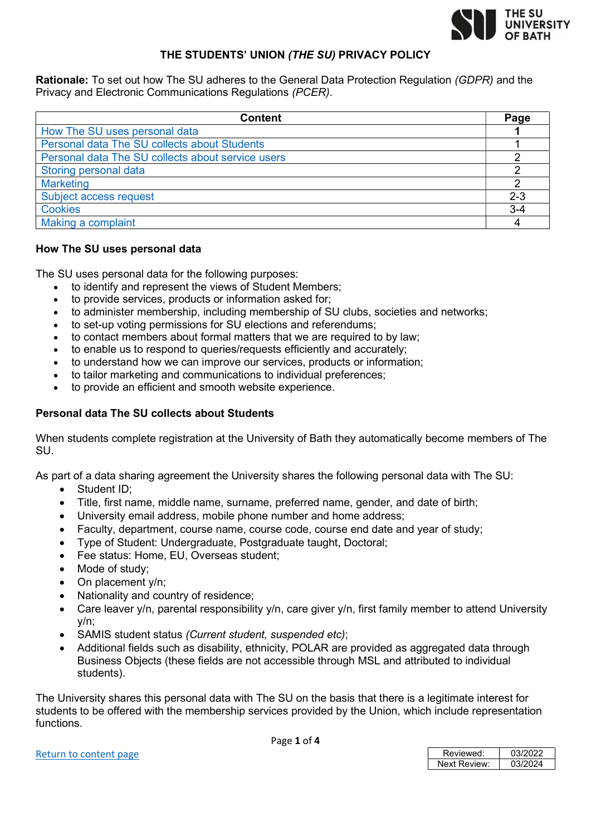

# THE STUDENTS' UNION (THE SU) PRIVACY POLICY

Rationale: To set out how The SU adheres to the General Data Protection Regulation (GDPR) and the Privacy and Electronic Communications Regulations (PCER).

| <b>Content</b>                                    | Page    |
|---------------------------------------------------|---------|
| How The SU uses personal data                     |         |
| Personal data The SU collects about Students      |         |
| Personal data The SU collects about service users |         |
| Storing personal data                             |         |
| <b>Marketing</b>                                  |         |
| Subject access request                            | $2 - 3$ |
| <b>Cookies</b>                                    | $3 - 4$ |
| Making a complaint                                |         |

## How The SU uses personal data

The SU uses personal data for the following purposes:

- to identify and represent the views of Student Members;
- to provide services, products or information asked for;
- to administer membership, including membership of SU clubs, societies and networks;
- to set-up voting permissions for SU elections and referendums;
- to contact members about formal matters that we are required to by law;
- to enable us to respond to queries/requests efficiently and accurately;
- to understand how we can improve our services, products or information;
- to tailor marketing and communications to individual preferences;
- to provide an efficient and smooth website experience.

## Personal data The SU collects about Students

When students complete registration at the University of Bath they automatically become members of The SU.

As part of a data sharing agreement the University shares the following personal data with The SU:

- Student ID:
- Title, first name, middle name, surname, preferred name, gender, and date of birth;
- University email address, mobile phone number and home address;
- Faculty, department, course name, course code, course end date and year of study;
- Type of Student: Undergraduate, Postgraduate taught, Doctoral;
- Fee status: Home, EU, Overseas student;
- Mode of study;
- On placement y/n;
- Nationality and country of residence;
- Care leaver y/n, parental responsibility y/n, care giver y/n, first family member to attend University y/n;
- SAMIS student status (Current student, suspended etc);
- Additional fields such as disability, ethnicity, POLAR are provided as aggregated data through Business Objects (these fields are not accessible through MSL and attributed to individual students).

The University shares this personal data with The SU on the basis that there is a legitimate interest for students to be offered with the membership services provided by the Union, which include representation functions.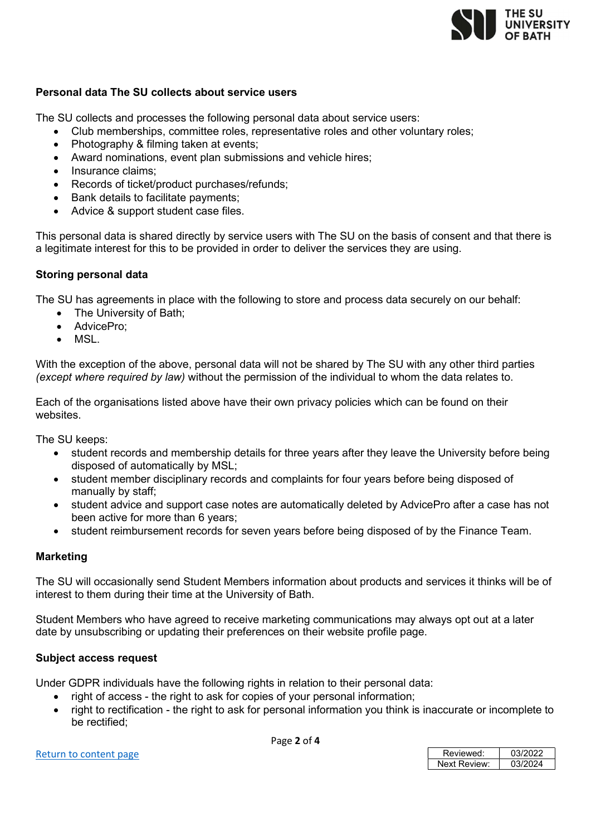

## Personal data The SU collects about service users

The SU collects and processes the following personal data about service users:

- Club memberships, committee roles, representative roles and other voluntary roles;
- Photography & filming taken at events;
- Award nominations, event plan submissions and vehicle hires;
- Insurance claims:
- Records of ticket/product purchases/refunds;
- Bank details to facilitate payments;
- Advice & support student case files.

This personal data is shared directly by service users with The SU on the basis of consent and that there is a legitimate interest for this to be provided in order to deliver the services they are using.

## Storing personal data

The SU has agreements in place with the following to store and process data securely on our behalf:

- The University of Bath:
- AdvicePro:
- MSL.

With the exception of the above, personal data will not be shared by The SU with any other third parties (except where required by law) without the permission of the individual to whom the data relates to.

Each of the organisations listed above have their own privacy policies which can be found on their websites.

The SU keeps:

- student records and membership details for three years after they leave the University before being disposed of automatically by MSL;
- student member disciplinary records and complaints for four years before being disposed of manually by staff;
- student advice and support case notes are automatically deleted by AdvicePro after a case has not been active for more than 6 years;
- student reimbursement records for seven years before being disposed of by the Finance Team.

### Marketing

The SU will occasionally send Student Members information about products and services it thinks will be of interest to them during their time at the University of Bath.

Student Members who have agreed to receive marketing communications may always opt out at a later date by unsubscribing or updating their preferences on their website profile page.

### Subject access request

Under GDPR individuals have the following rights in relation to their personal data:

- right of access the right to ask for copies of your personal information;
- right to rectification the right to ask for personal information you think is inaccurate or incomplete to be rectified;

Page 2 of 4

| Return to content page |
|------------------------|
|------------------------|

| Return to content page | Reviewed:    | 03/2022 |
|------------------------|--------------|---------|
|                        | Next Review: | 03/2024 |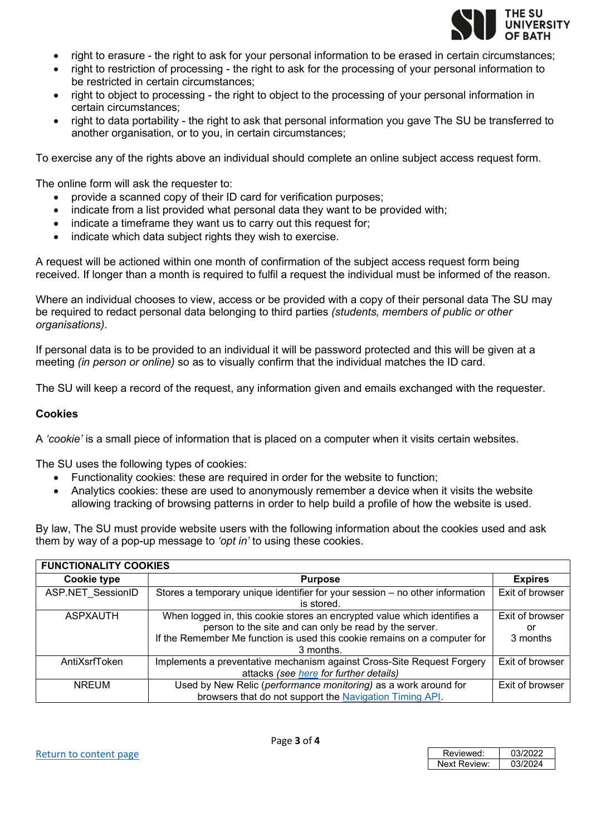

- right to erasure the right to ask for your personal information to be erased in certain circumstances;
- right to restriction of processing the right to ask for the processing of your personal information to be restricted in certain circumstances;
- right to object to processing the right to object to the processing of your personal information in certain circumstances;
- right to data portability the right to ask that personal information you gave The SU be transferred to another organisation, or to you, in certain circumstances;

To exercise any of the rights above an individual should complete an online subject access request form.

The online form will ask the requester to:

- provide a scanned copy of their ID card for verification purposes;
- indicate from a list provided what personal data they want to be provided with;
- indicate a timeframe they want us to carry out this request for;
- indicate which data subject rights they wish to exercise.

A request will be actioned within one month of confirmation of the subject access request form being received. If longer than a month is required to fulfil a request the individual must be informed of the reason.

Where an individual chooses to view, access or be provided with a copy of their personal data The SU may be required to redact personal data belonging to third parties (students, members of public or other organisations).

If personal data is to be provided to an individual it will be password protected and this will be given at a meeting *(in person or online)* so as to visually confirm that the individual matches the ID card.

The SU will keep a record of the request, any information given and emails exchanged with the requester.

### Cookies

A 'cookie' is a small piece of information that is placed on a computer when it visits certain websites.

The SU uses the following types of cookies:

- Functionality cookies: these are required in order for the website to function;
- Analytics cookies: these are used to anonymously remember a device when it visits the website allowing tracking of browsing patterns in order to help build a profile of how the website is used.

By law, The SU must provide website users with the following information about the cookies used and ask them by way of a pop-up message to 'opt in' to using these cookies.

| <b>FUNCTIONALITY COOKIES</b> |                                                                                                                                                                                                                              |                                   |  |
|------------------------------|------------------------------------------------------------------------------------------------------------------------------------------------------------------------------------------------------------------------------|-----------------------------------|--|
| <b>Cookie type</b>           | <b>Purpose</b>                                                                                                                                                                                                               | <b>Expires</b>                    |  |
| ASP.NET SessionID            | Stores a temporary unique identifier for your session - no other information<br>is stored.                                                                                                                                   | Exit of browser                   |  |
| <b>ASPXAUTH</b>              | When logged in, this cookie stores an encrypted value which identifies a<br>person to the site and can only be read by the server.<br>If the Remember Me function is used this cookie remains on a computer for<br>3 months. | Exit of browser<br>or<br>3 months |  |
| AntiXsrfToken                | Implements a preventative mechanism against Cross-Site Request Forgery<br>attacks (see here for further details)                                                                                                             | Exit of browser                   |  |
| <b>NREUM</b>                 | Used by New Relic (performance monitoring) as a work around for<br>browsers that do not support the Navigation Timing API.                                                                                                   | Exit of browser                   |  |

| Reviewed:    | 03/2022 |
|--------------|---------|
| Next Review: | 03/2024 |